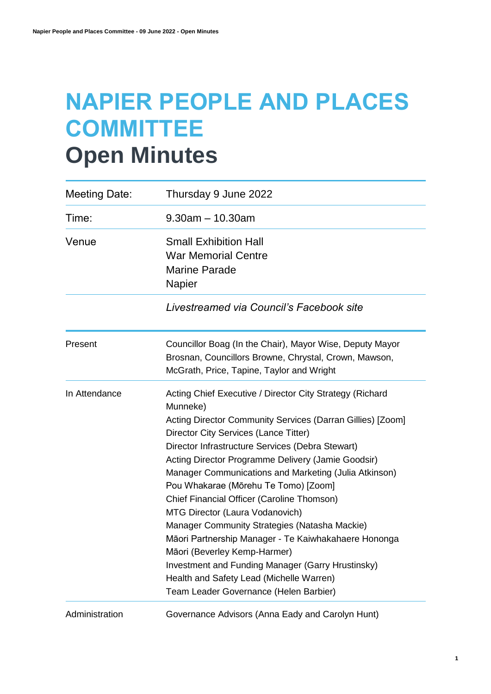# **NAPIER PEOPLE AND PLACES COMMITTEE Open Minutes**

| Meeting Date:  | Thursday 9 June 2022                                                                                                                                                                                                                                                                                                                                                                                                                                                                                                                                                                                                                                                                                                                                        |
|----------------|-------------------------------------------------------------------------------------------------------------------------------------------------------------------------------------------------------------------------------------------------------------------------------------------------------------------------------------------------------------------------------------------------------------------------------------------------------------------------------------------------------------------------------------------------------------------------------------------------------------------------------------------------------------------------------------------------------------------------------------------------------------|
| Time:          | $9.30$ am $-10.30$ am                                                                                                                                                                                                                                                                                                                                                                                                                                                                                                                                                                                                                                                                                                                                       |
| Venue          | <b>Small Exhibition Hall</b><br><b>War Memorial Centre</b><br><b>Marine Parade</b><br>Napier                                                                                                                                                                                                                                                                                                                                                                                                                                                                                                                                                                                                                                                                |
|                | Livestreamed via Council's Facebook site                                                                                                                                                                                                                                                                                                                                                                                                                                                                                                                                                                                                                                                                                                                    |
| Present        | Councillor Boag (In the Chair), Mayor Wise, Deputy Mayor<br>Brosnan, Councillors Browne, Chrystal, Crown, Mawson,<br>McGrath, Price, Tapine, Taylor and Wright                                                                                                                                                                                                                                                                                                                                                                                                                                                                                                                                                                                              |
| In Attendance  | Acting Chief Executive / Director City Strategy (Richard<br>Munneke)<br>Acting Director Community Services (Darran Gillies) [Zoom]<br>Director City Services (Lance Titter)<br>Director Infrastructure Services (Debra Stewart)<br>Acting Director Programme Delivery (Jamie Goodsir)<br>Manager Communications and Marketing (Julia Atkinson)<br>Pou Whakarae (Mōrehu Te Tomo) [Zoom]<br>Chief Financial Officer (Caroline Thomson)<br>MTG Director (Laura Vodanovich)<br>Manager Community Strategies (Natasha Mackie)<br>Māori Partnership Manager - Te Kaiwhakahaere Hononga<br>Māori (Beverley Kemp-Harmer)<br>Investment and Funding Manager (Garry Hrustinsky)<br>Health and Safety Lead (Michelle Warren)<br>Team Leader Governance (Helen Barbier) |
| Administration | Governance Advisors (Anna Eady and Carolyn Hunt)                                                                                                                                                                                                                                                                                                                                                                                                                                                                                                                                                                                                                                                                                                            |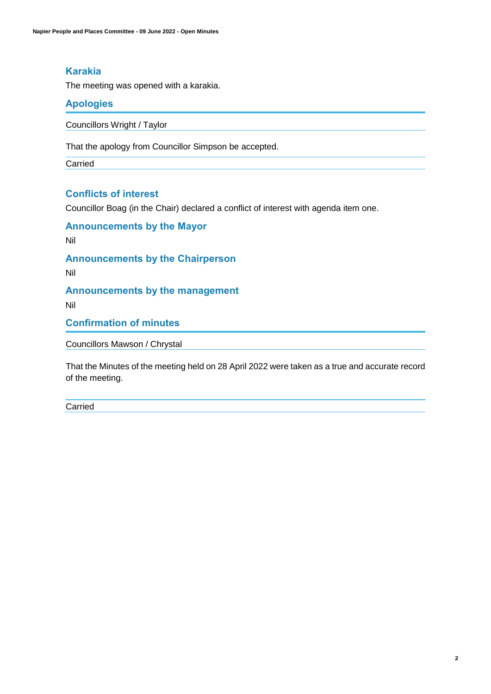## **Karakia**

The meeting was opened with a karakia.

## **Apologies**

Councillors Wright / Taylor

That the apology from Councillor Simpson be accepted.

Carried

## **Conflicts of interest**

Councillor Boag (in the Chair) declared a conflict of interest with agenda item one.

**Announcements by the Mayor**

Nil

**Announcements by the Chairperson**

Nil

**Announcements by the management**

Nil

**Confirmation of minutes**

Councillors Mawson / Chrystal

That the Minutes of the meeting held on 28 April 2022 were taken as a true and accurate record of the meeting.

Carried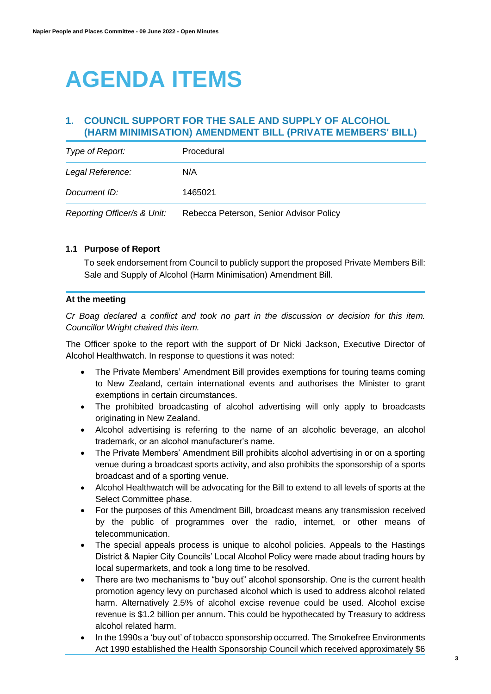# **AGENDA ITEMS**

## **1. COUNCIL SUPPORT FOR THE SALE AND SUPPLY OF ALCOHOL (HARM MINIMISATION) AMENDMENT BILL (PRIVATE MEMBERS' BILL)**

| Type of Report:             | Procedural                              |
|-----------------------------|-----------------------------------------|
| Legal Reference:            | N/A                                     |
| Document ID:                | 1465021                                 |
| Reporting Officer/s & Unit: | Rebecca Peterson, Senior Advisor Policy |

#### **1.1 Purpose of Report**

To seek endorsement from Council to publicly support the proposed Private Members Bill: Sale and Supply of Alcohol (Harm Minimisation) Amendment Bill.

#### **At the meeting**

*Cr Boag declared a conflict and took no part in the discussion or decision for this item. Councillor Wright chaired this item.* 

The Officer spoke to the report with the support of Dr Nicki Jackson, Executive Director of Alcohol Healthwatch. In response to questions it was noted:

- The Private Members' Amendment Bill provides exemptions for touring teams coming to New Zealand, certain international events and authorises the Minister to grant exemptions in certain circumstances.
- The prohibited broadcasting of alcohol advertising will only apply to broadcasts originating in New Zealand.
- Alcohol advertising is referring to the name of an alcoholic beverage, an alcohol trademark, or an alcohol manufacturer's name.
- The Private Members' Amendment Bill prohibits alcohol advertising in or on a sporting venue during a broadcast sports activity, and also prohibits the sponsorship of a sports broadcast and of a sporting venue.
- Alcohol Healthwatch will be advocating for the Bill to extend to all levels of sports at the Select Committee phase.
- For the purposes of this Amendment Bill, broadcast means any transmission received by the public of programmes over the radio, internet, or other means of telecommunication.
- The special appeals process is unique to alcohol policies. Appeals to the Hastings District & Napier City Councils' Local Alcohol Policy were made about trading hours by local supermarkets, and took a long time to be resolved.
- There are two mechanisms to "buy out" alcohol sponsorship. One is the current health promotion agency levy on purchased alcohol which is used to address alcohol related harm. Alternatively 2.5% of alcohol excise revenue could be used. Alcohol excise revenue is \$1.2 billion per annum. This could be hypothecated by Treasury to address alcohol related harm.
- In the 1990s a 'buy out' of tobacco sponsorship occurred. The Smokefree Environments Act 1990 established the Health Sponsorship Council which received approximately \$6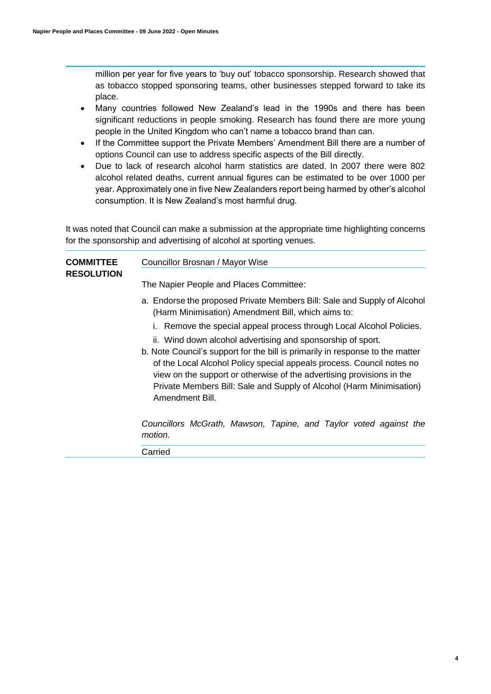million per year for five years to 'buy out' tobacco sponsorship. Research showed that as tobacco stopped sponsoring teams, other businesses stepped forward to take its place.

- Many countries followed New Zealand's lead in the 1990s and there has been significant reductions in people smoking. Research has found there are more young people in the United Kingdom who can't name a tobacco brand than can.
- If the Committee support the Private Members' Amendment Bill there are a number of options Council can use to address specific aspects of the Bill directly.
- Due to lack of research alcohol harm statistics are dated. In 2007 there were 802 alcohol related deaths, current annual figures can be estimated to be over 1000 per year. Approximately one in five New Zealanders report being harmed by other's alcohol consumption. It is New Zealand's most harmful drug.

It was noted that Council can make a submission at the appropriate time highlighting concerns for the sponsorship and advertising of alcohol at sporting venues.

| <b>COMMITTEE</b><br><b>RESOLUTION</b> | Councillor Brosnan / Mayor Wise                                                                                                                                                                                                                                                                                                                                                           |
|---------------------------------------|-------------------------------------------------------------------------------------------------------------------------------------------------------------------------------------------------------------------------------------------------------------------------------------------------------------------------------------------------------------------------------------------|
|                                       | The Napier People and Places Committee:                                                                                                                                                                                                                                                                                                                                                   |
|                                       | a. Endorse the proposed Private Members Bill: Sale and Supply of Alcohol<br>(Harm Minimisation) Amendment Bill, which aims to:                                                                                                                                                                                                                                                            |
|                                       | i. Remove the special appeal process through Local Alcohol Policies.                                                                                                                                                                                                                                                                                                                      |
|                                       | ii. Wind down alcohol advertising and sponsorship of sport.<br>b. Note Council's support for the bill is primarily in response to the matter<br>of the Local Alcohol Policy special appeals process. Council notes no<br>view on the support or otherwise of the advertising provisions in the<br>Private Members Bill: Sale and Supply of Alcohol (Harm Minimisation)<br>Amendment Bill. |
|                                       | Councillors McGrath, Mawson, Tapine, and Taylor voted against the<br>motion.                                                                                                                                                                                                                                                                                                              |
|                                       | Carried                                                                                                                                                                                                                                                                                                                                                                                   |